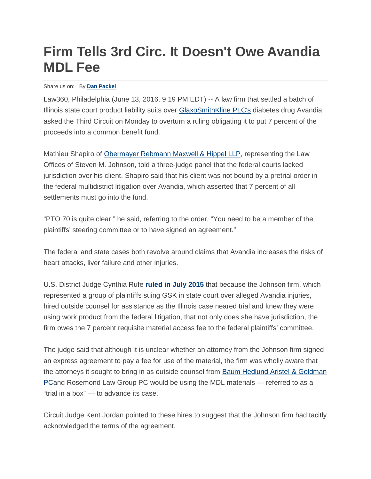## **Firm Tells 3rd Circ. It Doesn't Owe Avandia MDL Fee**

## Share us on: By **Dan [Packel](https://www.law360.com/articles/806460/firm-tells-3rd-circ-it-doesn-t-owe-avandia-mdl-fee)**

Law360, Philadelphia (June 13, 2016, 9:19 PM EDT) -- A law firm that settled a batch of Illinois state court product liability suits over [GlaxoSmithKline PLC's](https://www.law360.com/companies/glaxosmithkline) diabetes drug Avandia asked the Third Circuit on Monday to overturn a ruling obligating it to put 7 percent of the proceeds into a common benefit fund.

Mathieu Shapiro of [Obermayer Rebmann Maxwell & Hippel LLP,](https://www.law360.com/firms/obermayer-rebmann) representing the Law Offices of Steven M. Johnson, told a three-judge panel that the federal courts lacked jurisdiction over his client. Shapiro said that his client was not bound by a pretrial order in the federal multidistrict litigation over Avandia, which asserted that 7 percent of all settlements must go into the fund.

"PTO 70 is quite clear," he said, referring to the order. "You need to be a member of the plaintiffs' steering committee or to have signed an agreement."

The federal and state cases both revolve around claims that Avandia increases the risks of heart attacks, liver failure and other injuries.

U.S. District Judge Cynthia Rufe **[ruled](https://www.law360.com/articles/682674/firm-must-pay-mdl-fee-after-avandia-state-settlement) in July 2015** that because the Johnson firm, which represented a group of plaintiffs suing GSK in state court over alleged Avandia injuries, hired outside counsel for assistance as the Illinois case neared trial and knew they were using work product from the federal litigation, that not only does she have jurisdiction, the firm owes the 7 percent requisite material access fee to the federal plaintiffs' committee.

The judge said that although it is unclear whether an attorney from the Johnson firm signed an express agreement to pay a fee for use of the material, the firm was wholly aware that the attorneys it sought to bring in as outside counsel from [Baum Hedlund AristeI & Goldman](https://www.law360.com/firms/baum-hedlund)  [PCa](https://www.law360.com/firms/baum-hedlund)nd Rosemond Law Group PC would be using the MDL materials — referred to as a "trial in a box" — to advance its case.

Circuit Judge Kent Jordan pointed to these hires to suggest that the Johnson firm had tacitly acknowledged the terms of the agreement.